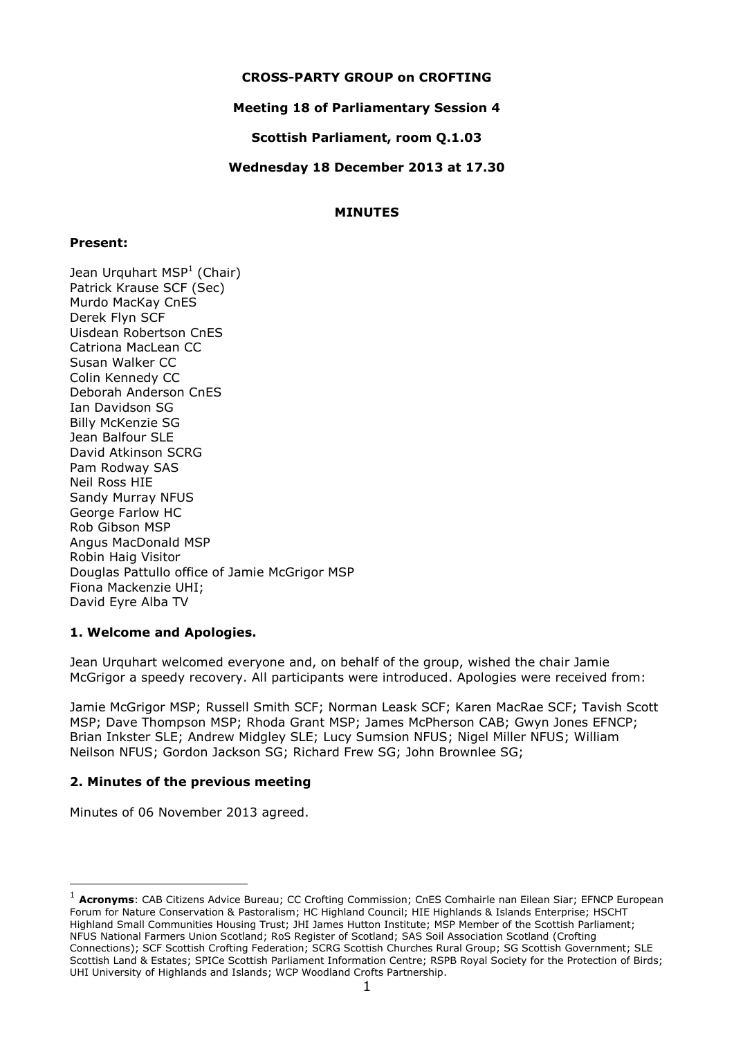### **CROSS-PARTY GROUP on CROFTING**

## **Meeting 18 of Parliamentary Session 4**

### **Scottish Parliament, room Q.1.03**

### **Wednesday 18 December 2013 at 17.30**

## **MINUTES**

### **Present:**

Jean Urquhart MSP<sup>1</sup> (Chair) Patrick Krause SCF (Sec) Murdo MacKay CnES Derek Flyn SCF Uisdean Robertson CnES Catriona MacLean CC Susan Walker CC Colin Kennedy CC Deborah Anderson CnES Ian Davidson SG Billy McKenzie SG Jean Balfour SLE David Atkinson SCRG Pam Rodway SAS Neil Ross HIE Sandy Murray NFUS George Farlow HC Rob Gibson MSP Angus MacDonald MSP Robin Haig Visitor Douglas Pattullo office of Jamie McGrigor MSP Fiona Mackenzie UHI; David Eyre Alba TV

### **1. Welcome and Apologies.**

Jean Urquhart welcomed everyone and, on behalf of the group, wished the chair Jamie McGrigor a speedy recovery. All participants were introduced. Apologies were received from:

Jamie McGrigor MSP; Russell Smith SCF; Norman Leask SCF; Karen MacRae SCF; Tavish Scott MSP; Dave Thompson MSP; Rhoda Grant MSP; James McPherson CAB; Gwyn Jones EFNCP; Brian Inkster SLE; Andrew Midgley SLE; Lucy Sumsion NFUS; Nigel Miller NFUS; William Neilson NFUS; Gordon Jackson SG; Richard Frew SG; John Brownlee SG;

# **2. Minutes of the previous meeting**

Minutes of 06 November 2013 agreed.

-

<sup>1</sup> **Acronyms**: CAB Citizens Advice Bureau; CC Crofting Commission; CnES Comhairle nan Eilean Siar; EFNCP European Forum for Nature Conservation & Pastoralism; HC Highland Council; HIE Highlands & Islands Enterprise; HSCHT Highland Small Communities Housing Trust; JHI James Hutton Institute; MSP Member of the Scottish Parliament; NFUS National Farmers Union Scotland; RoS Register of Scotland; SAS Soil Association Scotland (Crofting Connections); SCF Scottish Crofting Federation; SCRG Scottish Churches Rural Group; SG Scottish Government; SLE Scottish Land & Estates; SPICe Scottish Parliament Information Centre; RSPB Royal Society for the Protection of Birds; UHI University of Highlands and Islands; WCP Woodland Crofts Partnership.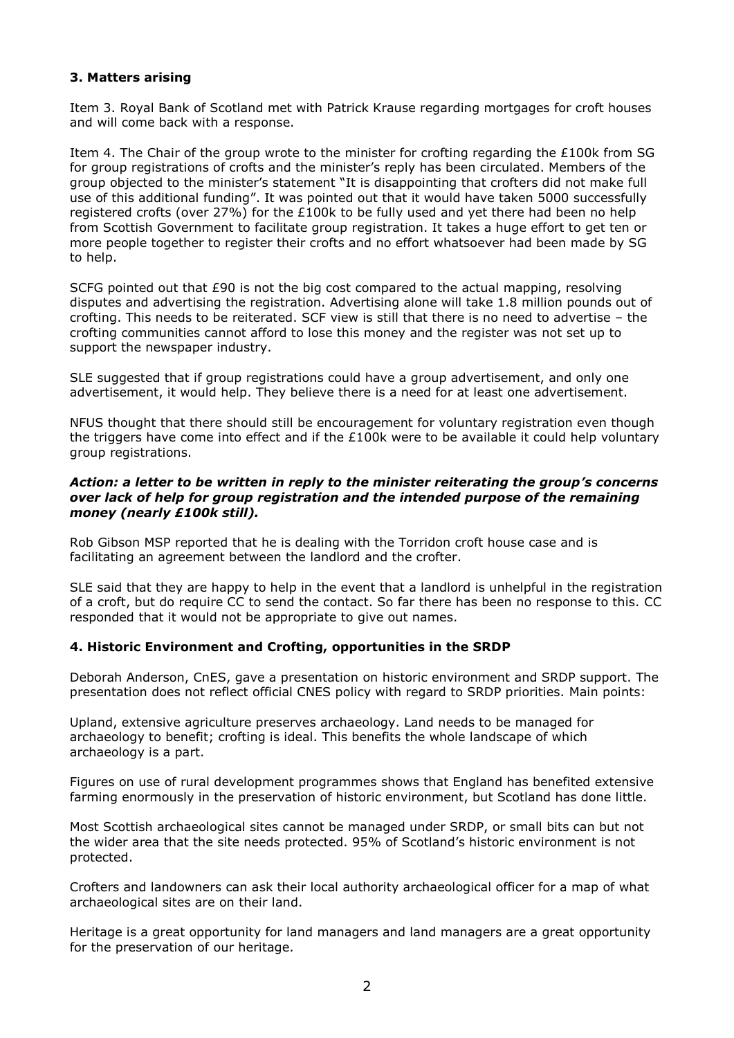# **3. Matters arising**

Item 3. Royal Bank of Scotland met with Patrick Krause regarding mortgages for croft houses and will come back with a response.

Item 4. The Chair of the group wrote to the minister for crofting regarding the £100k from SG for group registrations of crofts and the minister's reply has been circulated. Members of the group objected to the minister's statement "It is disappointing that crofters did not make full use of this additional funding". It was pointed out that it would have taken 5000 successfully registered crofts (over 27%) for the  $£100k$  to be fully used and yet there had been no help from Scottish Government to facilitate group registration. It takes a huge effort to get ten or more people together to register their crofts and no effort whatsoever had been made by SG to help.

SCFG pointed out that £90 is not the big cost compared to the actual mapping, resolving disputes and advertising the registration. Advertising alone will take 1.8 million pounds out of crofting. This needs to be reiterated. SCF view is still that there is no need to advertise – the crofting communities cannot afford to lose this money and the register was not set up to support the newspaper industry.

SLE suggested that if group registrations could have a group advertisement, and only one advertisement, it would help. They believe there is a need for at least one advertisement.

NFUS thought that there should still be encouragement for voluntary registration even though the triggers have come into effect and if the £100k were to be available it could help voluntary group registrations.

### *Action: a letter to be written in reply to the minister reiterating the group's concerns over lack of help for group registration and the intended purpose of the remaining money (nearly £100k still).*

Rob Gibson MSP reported that he is dealing with the Torridon croft house case and is facilitating an agreement between the landlord and the crofter.

SLE said that they are happy to help in the event that a landlord is unhelpful in the registration of a croft, but do require CC to send the contact. So far there has been no response to this. CC responded that it would not be appropriate to give out names.

### **4. Historic Environment and Crofting, opportunities in the SRDP**

Deborah Anderson, CnES, gave a presentation on historic environment and SRDP support. The presentation does not reflect official CNES policy with regard to SRDP priorities. Main points:

Upland, extensive agriculture preserves archaeology. Land needs to be managed for archaeology to benefit; crofting is ideal. This benefits the whole landscape of which archaeology is a part.

Figures on use of rural development programmes shows that England has benefited extensive farming enormously in the preservation of historic environment, but Scotland has done little.

Most Scottish archaeological sites cannot be managed under SRDP, or small bits can but not the wider area that the site needs protected. 95% of Scotland's historic environment is not protected.

Crofters and landowners can ask their local authority archaeological officer for a map of what archaeological sites are on their land.

Heritage is a great opportunity for land managers and land managers are a great opportunity for the preservation of our heritage.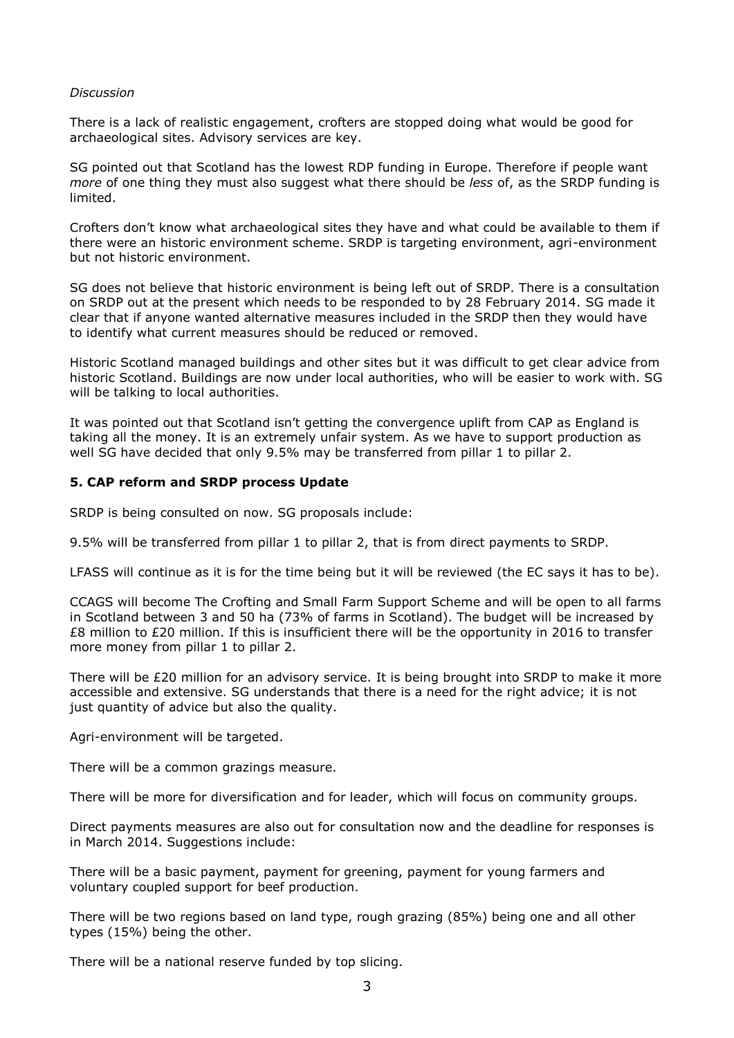#### *Discussion*

There is a lack of realistic engagement, crofters are stopped doing what would be good for archaeological sites. Advisory services are key.

SG pointed out that Scotland has the lowest RDP funding in Europe. Therefore if people want *more* of one thing they must also suggest what there should be *less* of, as the SRDP funding is limited.

Crofters don't know what archaeological sites they have and what could be available to them if there were an historic environment scheme. SRDP is targeting environment, agri-environment but not historic environment.

SG does not believe that historic environment is being left out of SRDP. There is a consultation on SRDP out at the present which needs to be responded to by 28 February 2014. SG made it clear that if anyone wanted alternative measures included in the SRDP then they would have to identify what current measures should be reduced or removed.

Historic Scotland managed buildings and other sites but it was difficult to get clear advice from historic Scotland. Buildings are now under local authorities, who will be easier to work with. SG will be talking to local authorities.

It was pointed out that Scotland isn't getting the convergence uplift from CAP as England is taking all the money. It is an extremely unfair system. As we have to support production as well SG have decided that only 9.5% may be transferred from pillar 1 to pillar 2.

### **5. CAP reform and SRDP process Update**

SRDP is being consulted on now. SG proposals include:

9.5% will be transferred from pillar 1 to pillar 2, that is from direct payments to SRDP.

LFASS will continue as it is for the time being but it will be reviewed (the EC says it has to be).

CCAGS will become The Crofting and Small Farm Support Scheme and will be open to all farms in Scotland between 3 and 50 ha (73% of farms in Scotland). The budget will be increased by £8 million to £20 million. If this is insufficient there will be the opportunity in 2016 to transfer more money from pillar 1 to pillar 2.

There will be £20 million for an advisory service. It is being brought into SRDP to make it more accessible and extensive. SG understands that there is a need for the right advice; it is not just quantity of advice but also the quality.

Agri-environment will be targeted.

There will be a common grazings measure.

There will be more for diversification and for leader, which will focus on community groups.

Direct payments measures are also out for consultation now and the deadline for responses is in March 2014. Suggestions include:

There will be a basic payment, payment for greening, payment for young farmers and voluntary coupled support for beef production.

There will be two regions based on land type, rough grazing (85%) being one and all other types (15%) being the other.

There will be a national reserve funded by top slicing.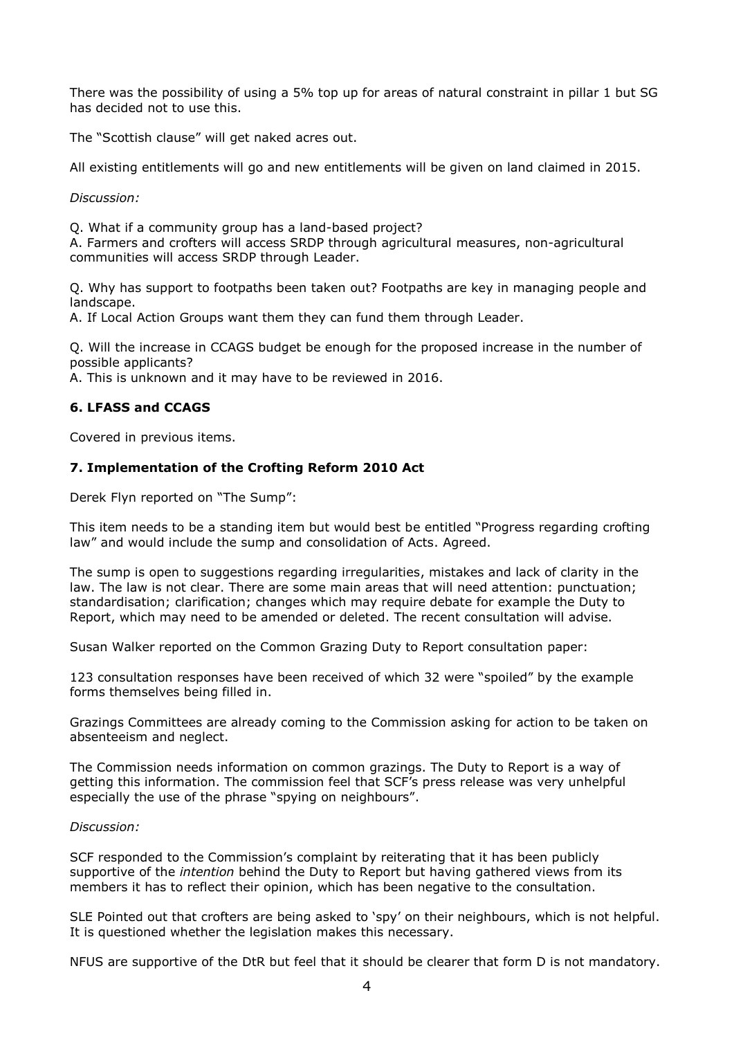There was the possibility of using a 5% top up for areas of natural constraint in pillar 1 but SG has decided not to use this.

The "Scottish clause" will get naked acres out.

All existing entitlements will go and new entitlements will be given on land claimed in 2015.

*Discussion:*

Q. What if a community group has a land-based project?

A. Farmers and crofters will access SRDP through agricultural measures, non-agricultural communities will access SRDP through Leader.

Q. Why has support to footpaths been taken out? Footpaths are key in managing people and landscape.

A. If Local Action Groups want them they can fund them through Leader.

Q. Will the increase in CCAGS budget be enough for the proposed increase in the number of possible applicants?

A. This is unknown and it may have to be reviewed in 2016.

# **6. LFASS and CCAGS**

Covered in previous items.

### **7. Implementation of the Crofting Reform 2010 Act**

Derek Flyn reported on "The Sump":

This item needs to be a standing item but would best be entitled "Progress regarding crofting law" and would include the sump and consolidation of Acts. Agreed.

The sump is open to suggestions regarding irregularities, mistakes and lack of clarity in the law. The law is not clear. There are some main areas that will need attention: punctuation; standardisation; clarification; changes which may require debate for example the Duty to Report, which may need to be amended or deleted. The recent consultation will advise.

Susan Walker reported on the Common Grazing Duty to Report consultation paper:

123 consultation responses have been received of which 32 were "spoiled" by the example forms themselves being filled in.

Grazings Committees are already coming to the Commission asking for action to be taken on absenteeism and neglect.

The Commission needs information on common grazings. The Duty to Report is a way of getting this information. The commission feel that SCF's press release was very unhelpful especially the use of the phrase "spying on neighbours".

### *Discussion:*

SCF responded to the Commission's complaint by reiterating that it has been publicly supportive of the *intention* behind the Duty to Report but having gathered views from its members it has to reflect their opinion, which has been negative to the consultation.

SLE Pointed out that crofters are being asked to 'spy' on their neighbours, which is not helpful. It is questioned whether the legislation makes this necessary.

NFUS are supportive of the DtR but feel that it should be clearer that form D is not mandatory.